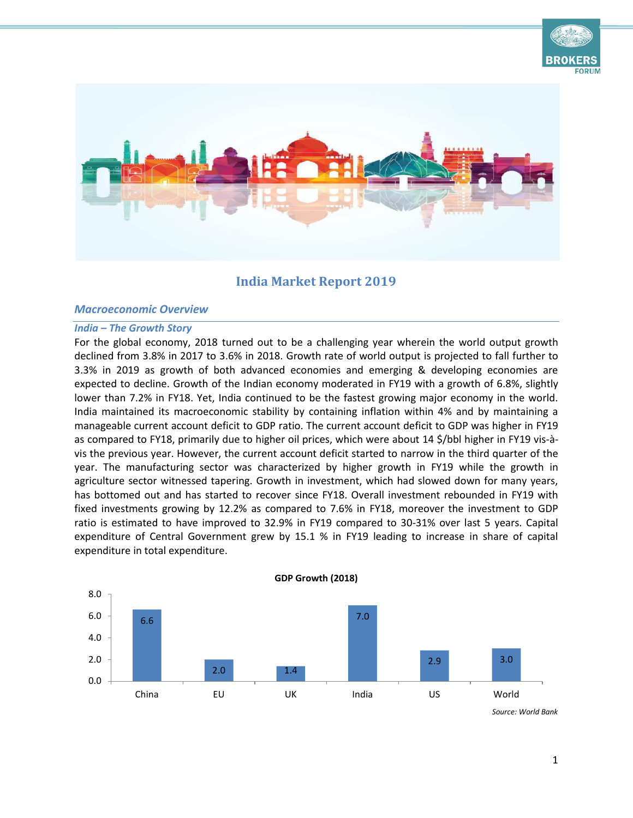



# **India Market Report 2019**

## *Macroeconomic Overview*

#### *India – The Growth Story*

For the global economy, 2018 turned out to be a challenging year wherein the world output growth declined from 3.8% in 2017 to 3.6% in 2018. Growth rate of world output is projected to fall further to 3.3% in 2019 as growth of both advanced economies and emerging & developing economies are expected to decline. Growth of the Indian economy moderated in FY19 with a growth of 6.8%, slightly lower than 7.2% in FY18. Yet, India continued to be the fastest growing major economy in the world. India maintained its macroeconomic stability by containing inflation within 4% and by maintaining a manageable current account deficit to GDP ratio. The current account deficit to GDP was higher in FY19 as compared to FY18, primarily due to higher oil prices, which were about 14 \$/bbl higher in FY19 vis-àvis the previous year. However, the current account deficit started to narrow in the third quarter of the year. The manufacturing sector was characterized by higher growth in FY19 while the growth in agriculture sector witnessed tapering. Growth in investment, which had slowed down for many years, has bottomed out and has started to recover since FY18. Overall investment rebounded in FY19 with fixed investments growing by 12.2% as compared to 7.6% in FY18, moreover the investment to GDP ratio is estimated to have improved to 32.9% in FY19 compared to 30-31% over last 5 years. Capital expenditure of Central Government grew by 15.1 % in FY19 leading to increase in share of capital expenditure in total expenditure.

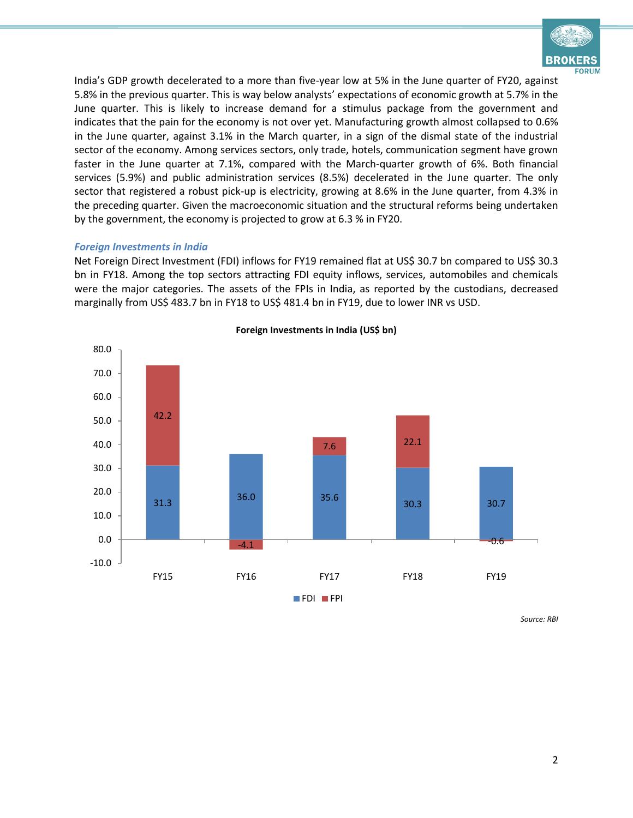

India's GDP growth decelerated to a more than five-year low at 5% in the June quarter of FY20, against 5.8% in the previous quarter. This is way below analysts' expectations of economic growth at 5.7% in the June quarter. This is likely to increase demand for a stimulus package from the government and indicates that the pain for the economy is not over yet. Manufacturing growth almost collapsed to 0.6% in the June quarter, against 3.1% in the March quarter, in a sign of the dismal state of the industrial sector of the economy. Among services sectors, only trade, hotels, communication segment have grown faster in the June quarter at 7.1%, compared with the March-quarter growth of 6%. Both financial services (5.9%) and public administration services (8.5%) decelerated in the June quarter. The only sector that registered a robust pick-up is electricity, growing at 8.6% in the June quarter, from 4.3% in the preceding quarter. Given the macroeconomic situation and the structural reforms being undertaken by the government, the economy is projected to grow at 6.3 % in FY20.

#### *Foreign Investments in India*

Net Foreign Direct Investment (FDI) inflows for FY19 remained flat at US\$ 30.7 bn compared to US\$ 30.3 bn in FY18. Among the top sectors attracting FDI equity inflows, services, automobiles and chemicals were the major categories. The assets of the FPIs in India, as reported by the custodians, decreased marginally from US\$ 483.7 bn in FY18 to US\$ 481.4 bn in FY19, due to lower INR vs USD.



**Foreign Investments in India (US\$ bn)**

*Source: RBI*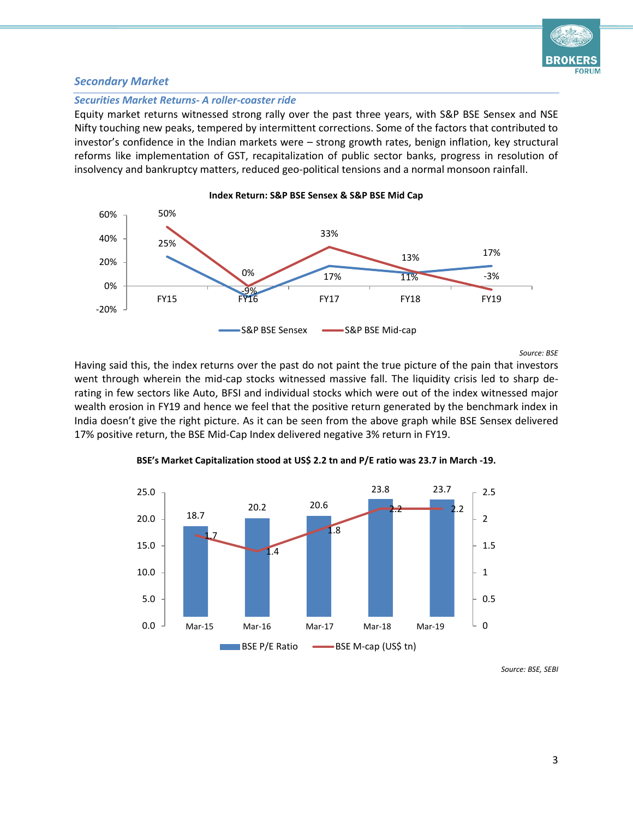

## *Secondary Market*

#### *Securities Market Returns- A roller-coaster ride*

Equity market returns witnessed strong rally over the past three years, with S&P BSE Sensex and NSE Nifty touching new peaks, tempered by intermittent corrections. Some of the factors that contributed to investor's confidence in the Indian markets were – strong growth rates, benign inflation, key structural reforms like implementation of GST, recapitalization of public sector banks, progress in resolution of insolvency and bankruptcy matters, reduced geo-political tensions and a normal monsoon rainfall.



*Source: BSE*

Having said this, the index returns over the past do not paint the true picture of the pain that investors went through wherein the mid-cap stocks witnessed massive fall. The liquidity crisis led to sharp derating in few sectors like Auto, BFSI and individual stocks which were out of the index witnessed major wealth erosion in FY19 and hence we feel that the positive return generated by the benchmark index in India doesn't give the right picture. As it can be seen from the above graph while BSE Sensex delivered 17% positive return, the BSE Mid-Cap Index delivered negative 3% return in FY19.



**BSE's Market Capitalization stood at US\$ 2.2 tn and P/E ratio was 23.7 in March -19.**

*Source: BSE, SEBI*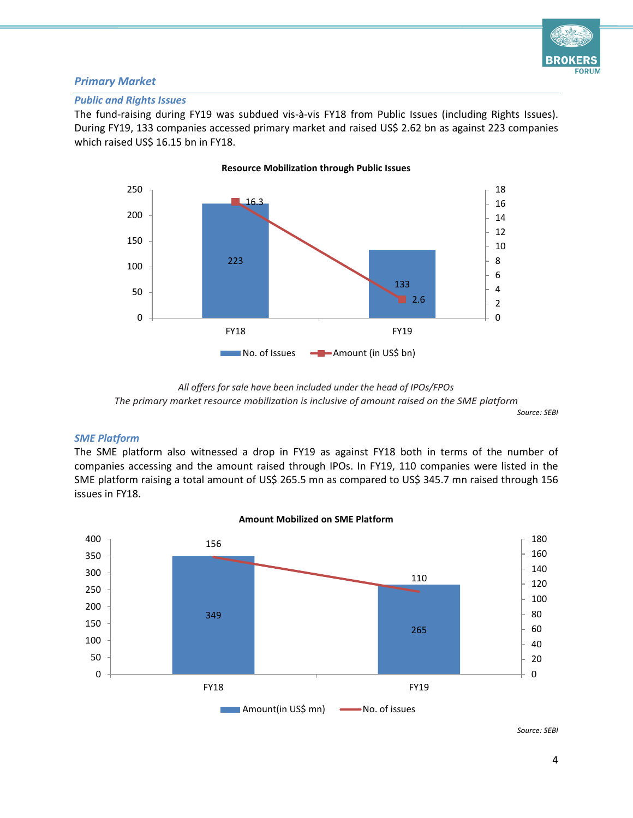

# *Primary Market*

## *Public and Rights Issues*

The fund-raising during FY19 was subdued vis-à-vis FY18 from Public Issues (including Rights Issues). During FY19, 133 companies accessed primary market and raised US\$ 2.62 bn as against 223 companies which raised US\$ 16.15 bn in FY18.



**Resource Mobilization through Public Issues**

*Source: SEBI*

## *SME Platform*

The SME platform also witnessed a drop in FY19 as against FY18 both in terms of the number of companies accessing and the amount raised through IPOs. In FY19, 110 companies were listed in the SME platform raising a total amount of US\$ 265.5 mn as compared to US\$ 345.7 mn raised through 156 issues in FY18.



## **Amount Mobilized on SME Platform**

*Source: SEBI*

*All offers for sale have been included under the head of IPOs/FPOs The primary market resource mobilization is inclusive of amount raised on the SME platform*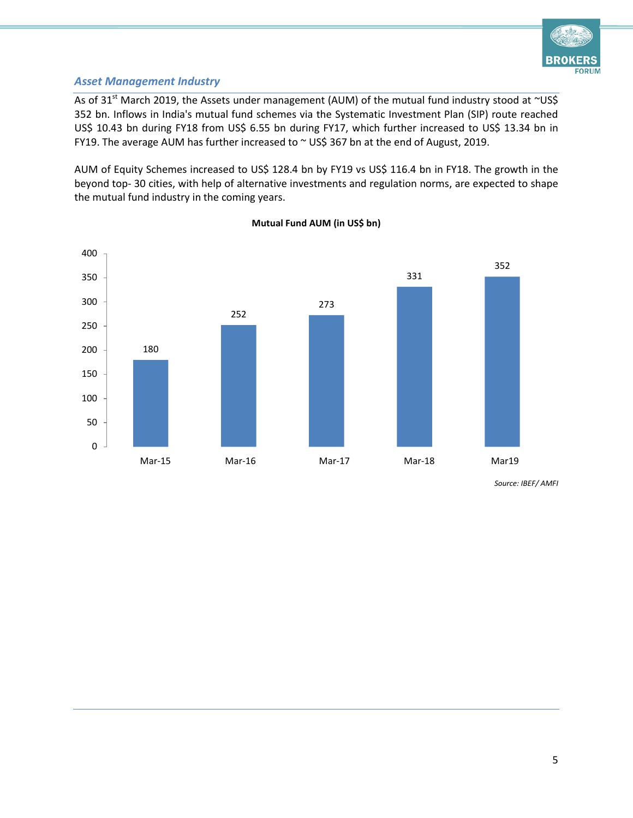

# *Asset Management Industry*

As of 31<sup>st</sup> March 2019, the Assets under management (AUM) of the mutual fund industry stood at ~US\$ 352 bn. Inflows in India's mutual fund schemes via the Systematic Investment Plan (SIP) route reached US\$ 10.43 bn during FY18 from US\$ 6.55 bn during FY17, which further increased to US\$ 13.34 bn in FY19. The average AUM has further increased to  $\sim$  US\$ 367 bn at the end of August, 2019.

AUM of Equity Schemes increased to US\$ 128.4 bn by FY19 vs US\$ 116.4 bn in FY18. The growth in the beyond top- 30 cities, with help of alternative investments and regulation norms, are expected to shape the mutual fund industry in the coming years.



**Mutual Fund AUM (in US\$ bn)**

*Source: IBEF/ AMFI*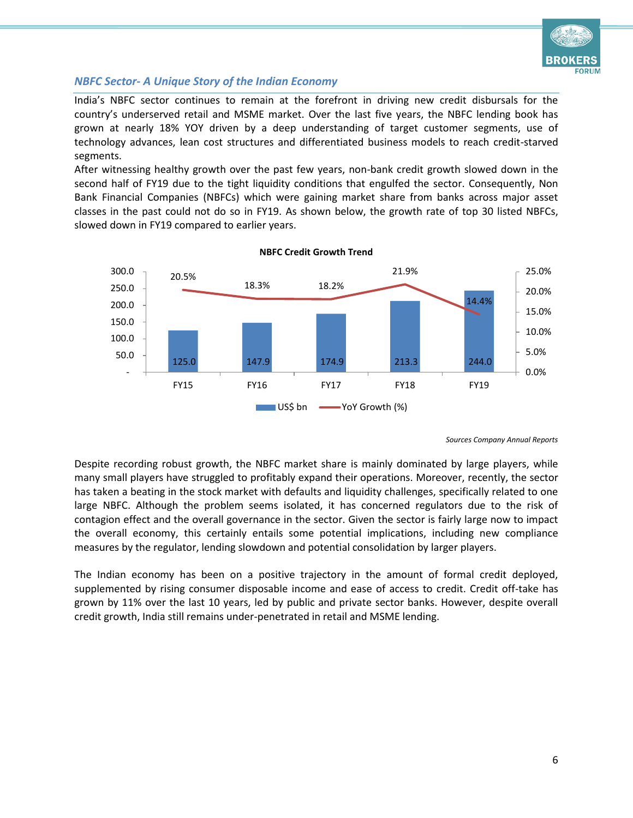

# *NBFC Sector- A Unique Story of the Indian Economy*

India's NBFC sector continues to remain at the forefront in driving new credit disbursals for the country's underserved retail and MSME market. Over the last five years, the NBFC lending book has grown at nearly 18% YOY driven by a deep understanding of target customer segments, use of technology advances, lean cost structures and differentiated business models to reach credit-starved segments.

After witnessing healthy growth over the past few years, non-bank credit growth slowed down in the second half of FY19 due to the tight liquidity conditions that engulfed the sector. Consequently, Non Bank Financial Companies (NBFCs) which were gaining market share from banks across major asset classes in the past could not do so in FY19. As shown below, the growth rate of top 30 listed NBFCs, slowed down in FY19 compared to earlier years.



**NBFC Credit Growth Trend**

*Sources Company Annual Reports*

Despite recording robust growth, the NBFC market share is mainly dominated by large players, while many small players have struggled to profitably expand their operations. Moreover, recently, the sector has taken a beating in the stock market with defaults and liquidity challenges, specifically related to one large NBFC. Although the problem seems isolated, it has concerned regulators due to the risk of contagion effect and the overall governance in the sector. Given the sector is fairly large now to impact the overall economy, this certainly entails some potential implications, including new compliance measures by the regulator, lending slowdown and potential consolidation by larger players.

The Indian economy has been on a positive trajectory in the amount of formal credit deployed, supplemented by rising consumer disposable income and ease of access to credit. Credit off-take has grown by 11% over the last 10 years, led by public and private sector banks. However, despite overall credit growth, India still remains under-penetrated in retail and MSME lending.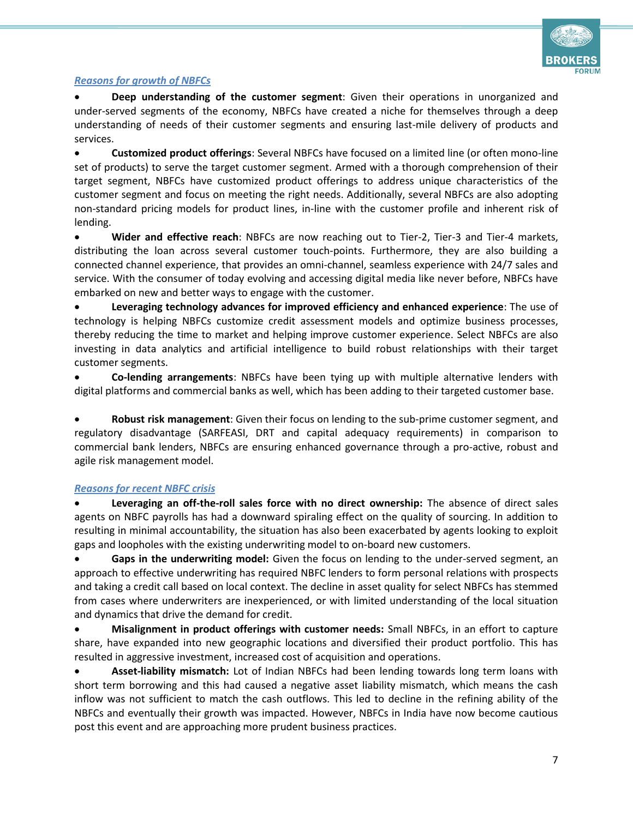

## *Reasons for growth of NBFCs*

 **Deep understanding of the customer segment**: Given their operations in unorganized and under-served segments of the economy, NBFCs have created a niche for themselves through a deep understanding of needs of their customer segments and ensuring last-mile delivery of products and services.

 **Customized product offerings**: Several NBFCs have focused on a limited line (or often mono-line set of products) to serve the target customer segment. Armed with a thorough comprehension of their target segment, NBFCs have customized product offerings to address unique characteristics of the customer segment and focus on meeting the right needs. Additionally, several NBFCs are also adopting non-standard pricing models for product lines, in-line with the customer profile and inherent risk of lending.

 **Wider and effective reach**: NBFCs are now reaching out to Tier-2, Tier-3 and Tier-4 markets, distributing the loan across several customer touch-points. Furthermore, they are also building a connected channel experience, that provides an omni-channel, seamless experience with 24/7 sales and service. With the consumer of today evolving and accessing digital media like never before, NBFCs have embarked on new and better ways to engage with the customer.

 **Leveraging technology advances for improved efficiency and enhanced experience**: The use of technology is helping NBFCs customize credit assessment models and optimize business processes, thereby reducing the time to market and helping improve customer experience. Select NBFCs are also investing in data analytics and artificial intelligence to build robust relationships with their target customer segments.

 **Co-lending arrangements**: NBFCs have been tying up with multiple alternative lenders with digital platforms and commercial banks as well, which has been adding to their targeted customer base.

 **Robust risk management**: Given their focus on lending to the sub-prime customer segment, and regulatory disadvantage (SARFEASI, DRT and capital adequacy requirements) in comparison to commercial bank lenders, NBFCs are ensuring enhanced governance through a pro-active, robust and agile risk management model.

# *Reasons for recent NBFC crisis*

 **Leveraging an off-the-roll sales force with no direct ownership:** The absence of direct sales agents on NBFC payrolls has had a downward spiraling effect on the quality of sourcing. In addition to resulting in minimal accountability, the situation has also been exacerbated by agents looking to exploit gaps and loopholes with the existing underwriting model to on-board new customers.

 **Gaps in the underwriting model:** Given the focus on lending to the under-served segment, an approach to effective underwriting has required NBFC lenders to form personal relations with prospects and taking a credit call based on local context. The decline in asset quality for select NBFCs has stemmed from cases where underwriters are inexperienced, or with limited understanding of the local situation and dynamics that drive the demand for credit.

 **Misalignment in product offerings with customer needs:** Small NBFCs, in an effort to capture share, have expanded into new geographic locations and diversified their product portfolio. This has resulted in aggressive investment, increased cost of acquisition and operations.

 **Asset-liability mismatch:** Lot of Indian NBFCs had been lending towards long term loans with short term borrowing and this had caused a negative asset liability mismatch, which means the cash inflow was not sufficient to match the cash outflows. This led to decline in the refining ability of the NBFCs and eventually their growth was impacted. However, NBFCs in India have now become cautious post this event and are approaching more prudent business practices.